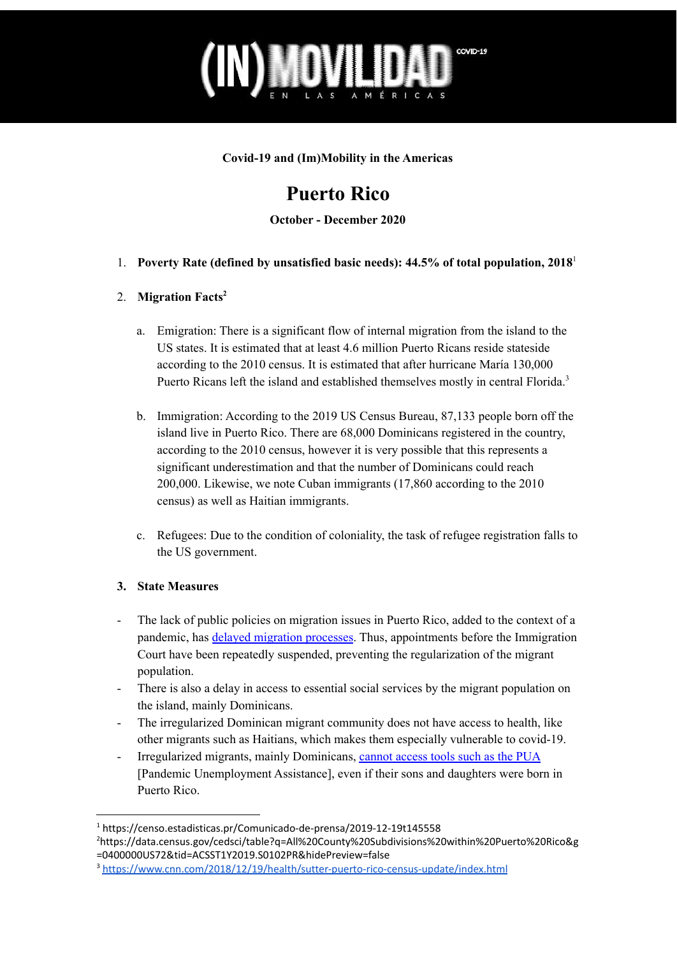

**Covid-19 and (Im)Mobility in the Americas**

# **Puerto Rico**

**October - December 2020**

1. **Poverty Rate (defined by unsatisfied basic needs): 44.5% of total population, 2018** 1

### 2. **Migration Facts 2**

- a. Emigration: There is a significant flow of internal migration from the island to the US states. It is estimated that at least 4.6 million Puerto Ricans reside stateside according to the 2010 census. It is estimated that after hurricane María 130,000 Puerto Ricans left the island and established themselves mostly in central Florida.<sup>3</sup>
- b. Immigration: According to the 2019 US Census Bureau, 87,133 people born off the island live in Puerto Rico. There are 68,000 Dominicans registered in the country, according to the 2010 census, however it is very possible that this represents a significant underestimation and that the number of Dominicans could reach 200,000. Likewise, we note Cuban immigrants (17,860 according to the 2010 census) as well as Haitian immigrants.
- c. Refugees: Due to the condition of coloniality, the task of refugee registration falls to the US government.

#### **3. State Measures**

- The lack of public policies on migration issues in Puerto Rico, added to the context of a pandemic, has delayed [migration](https://periodismoinvestigativo.com/2020/12/madres-dominicanas-en-puerto-rico-enfrentan-la-pandemia-desde-la-sombra/) processes. Thus, appointments before the Immigration Court have been repeatedly suspended, preventing the regularization of the migrant population.
- There is also a delay in access to essential social services by the migrant population on the island, mainly Dominicans.
- The irregularized Dominican migrant community does not have access to health, like other migrants such as Haitians, which makes them especially vulnerable to covid-19.
- Irregularized migrants, mainly Dominicans, [cannot](https://periodismoinvestigativo.com/2020/12/madres-dominicanas-en-puerto-rico-enfrentan-la-pandemia-desde-la-sombra/) access tools such as the PUA [Pandemic Unemployment Assistance], even if their sons and daughters were born in Puerto Rico.

<sup>1</sup> https://censo.estadisticas.pr/Comunicado-de-prensa/2019-12-19t145558

<sup>2</sup>https://data.census.gov/cedsci/table?q=All%20County%20Subdivisions%20within%20Puerto%20Rico&g =0400000US72&tid=ACSST1Y2019.S0102PR&hidePreview=false

<sup>3</sup> <https://www.cnn.com/2018/12/19/health/sutter-puerto-rico-census-update/index.html>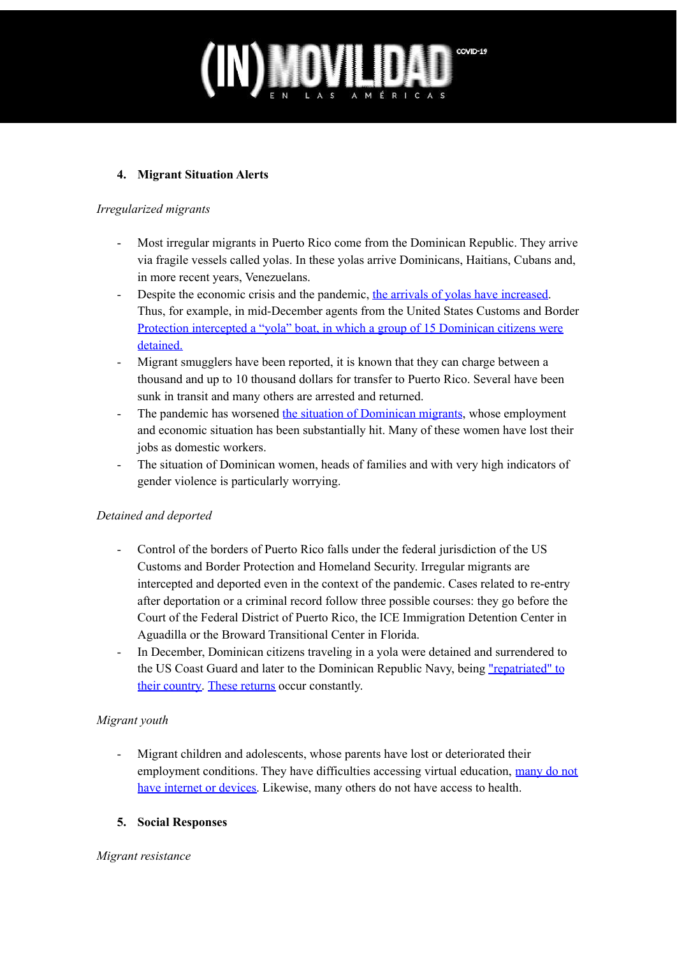

#### **4. Migrant Situation Alerts**

#### *Irregularized migrants*

- Most irregular migrants in Puerto Rico come from the Dominican Republic. They arrive via fragile vessels called yolas. In these yolas arrive Dominicans, Haitians, Cubans and, in more recent years, Venezuelans.
- Despite the economic crisis and the pandemic, the arrivals of yolas have [increased.](https://www.cbp.gov/newsroom/local-media-release/en-pleno-covid-19-aumenta-peligrosamente-el-n-mero-de-migrantes-aventur) Thus, for example, in mid-December agents from the United States Customs and Border Protection intercepted a "yola" boat, in which a group of 15 [Dominican](https://listindiario.com/las-mundiales/2020/12/17/648692/repatrian-a-15-dominicanos-atrapados-en-puerto-rico) citizens were [detained.](https://listindiario.com/las-mundiales/2020/12/17/648692/repatrian-a-15-dominicanos-atrapados-en-puerto-rico)
- Migrant smugglers have been reported, it is known that they can charge between a thousand and up to 10 thousand dollars for transfer to Puerto Rico. Several have been sunk in transit and many others are arrested and returned.
- The pandemic has worsened the situation of [Dominican](https://periodismoinvestigativo.com/2020/12/madres-dominicanas-en-puerto-rico-enfrentan-la-pandemia-desde-la-sombra/) migrants, whose employment and economic situation has been substantially hit. Many of these women have lost their jobs as domestic workers.
- The situation of Dominican women, heads of families and with very high indicators of gender violence is particularly worrying.

#### *Detained and deported*

- Control of the borders of Puerto Rico falls under the federal jurisdiction of the US Customs and Border Protection and Homeland Security. Irregular migrants are intercepted and deported even in the context of the pandemic. Cases related to re-entry after deportation or a criminal record follow three possible courses: they go before the Court of the Federal District of Puerto Rico, the ICE Immigration Detention Center in Aguadilla or the Broward Transitional Center in Florida.
- In December, Dominican citizens traveling in a yola were detained and surrendered to the US Coast Guard and later to the Dominican Republic Navy, being "repatriated" to their country. These [returns](https://www.cbp.gov/newsroom/local-media-release/en-pleno-covid-19-aumenta-peligrosamente-el-n-mero-de-migrantes-aventur) occur constantly.

#### *Migrant youth*

Migrant children and adolescents, whose parents have lost or deteriorated their employment conditions. They have difficulties accessing virtual education, [many](https://periodismoinvestigativo.com/2020/12/madres-dominicanas-en-puerto-rico-enfrentan-la-pandemia-desde-la-sombra/) do not have [internet](https://periodismoinvestigativo.com/2020/12/madres-dominicanas-en-puerto-rico-enfrentan-la-pandemia-desde-la-sombra/) or devices. Likewise, many others do not have access to health.

#### **5. Social Responses**

#### *Migrant resistance*